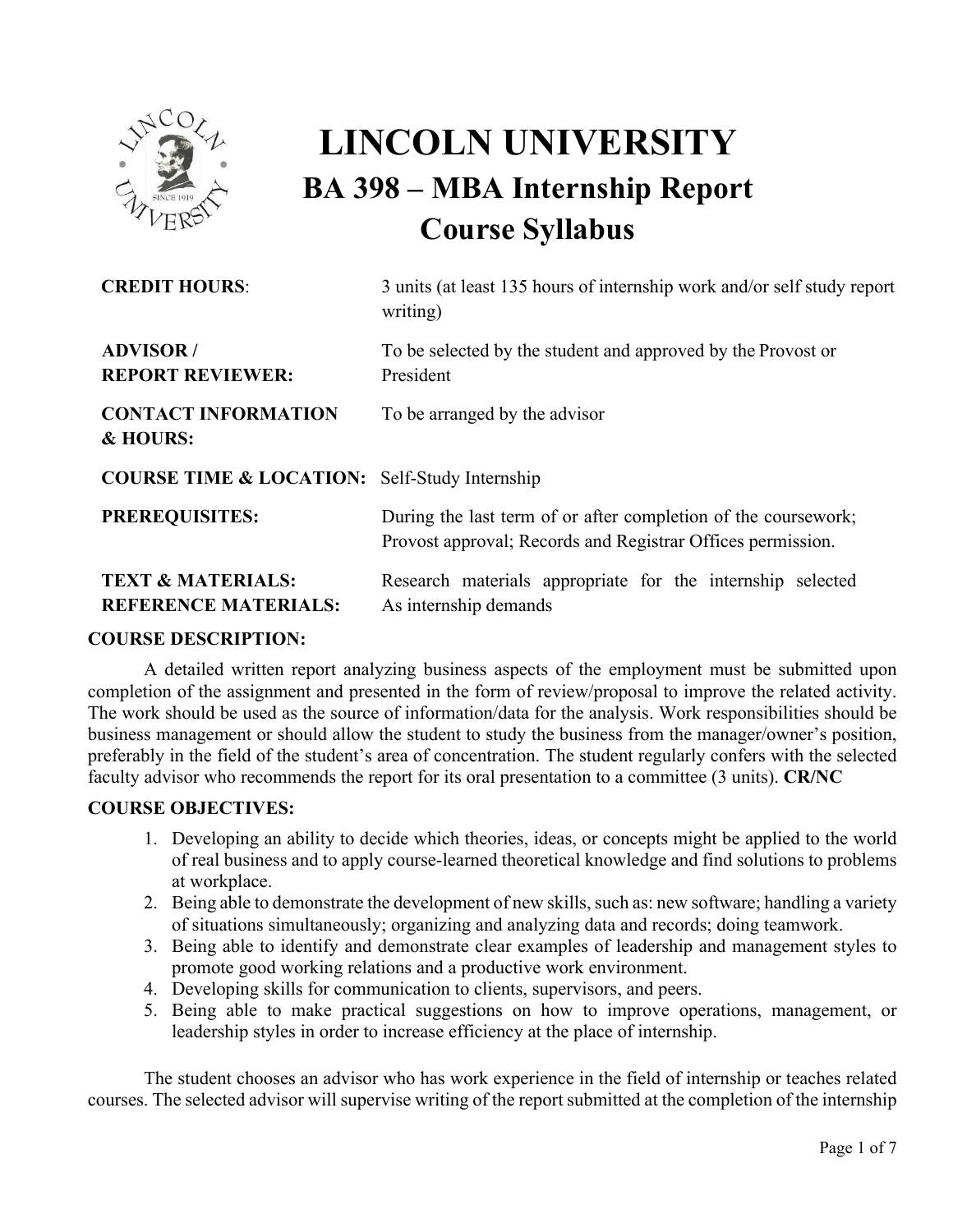

# **LINCOLN UNIVERSITY BA 398 – MBA Internship Report Course Syllabus**

| <b>CREDIT HOURS:</b>                                        | 3 units (at least 135 hours of internship work and/or self study report<br>writing)                                           |
|-------------------------------------------------------------|-------------------------------------------------------------------------------------------------------------------------------|
| <b>ADVISOR</b> /<br><b>REPORT REVIEWER:</b>                 | To be selected by the student and approved by the Provost or<br>President                                                     |
| <b>CONTACT INFORMATION</b><br>& HOURS:                      | To be arranged by the advisor                                                                                                 |
| <b>COURSE TIME &amp; LOCATION:</b> Self-Study Internship    |                                                                                                                               |
| <b>PREREQUISITES:</b>                                       | During the last term of or after completion of the coursework;<br>Provost approval; Records and Registrar Offices permission. |
| <b>TEXT &amp; MATERIALS:</b><br><b>REFERENCE MATERIALS:</b> | Research materials appropriate for the internship selected<br>As internship demands                                           |

## **COURSE DESCRIPTION:**

A detailed written report analyzing business aspects of the employment must be submitted upon completion of the assignment and presented in the form of review/proposal to improve the related activity. The work should be used as the source of information/data for the analysis. Work responsibilities should be business management or should allow the student to study the business from the manager/owner's position, preferably in the field of the student's area of concentration. The student regularly confers with the selected faculty advisor who recommends the report for its oral presentation to a committee (3 units). **CR/NC**

# **COURSE OBJECTIVES:**

- 1. Developing an ability to decide which theories, ideas, or concepts might be applied to the world of real business and to apply course-learned theoretical knowledge and find solutions to problems at workplace.
- 2. Being able to demonstrate the development of new skills, such as: new software; handling a variety of situations simultaneously; organizing and analyzing data and records; doing teamwork.
- 3. Being able to identify and demonstrate clear examples of leadership and management styles to promote good working relations and a productive work environment.
- 4. Developing skills for communication to clients, supervisors, and peers.
- 5. Being able to make practical suggestions on how to improve operations, management, or leadership styles in order to increase efficiency at the place of internship.

The student chooses an advisor who has work experience in the field of internship or teaches related courses. The selected advisor will supervise writing of the report submitted at the completion of the internship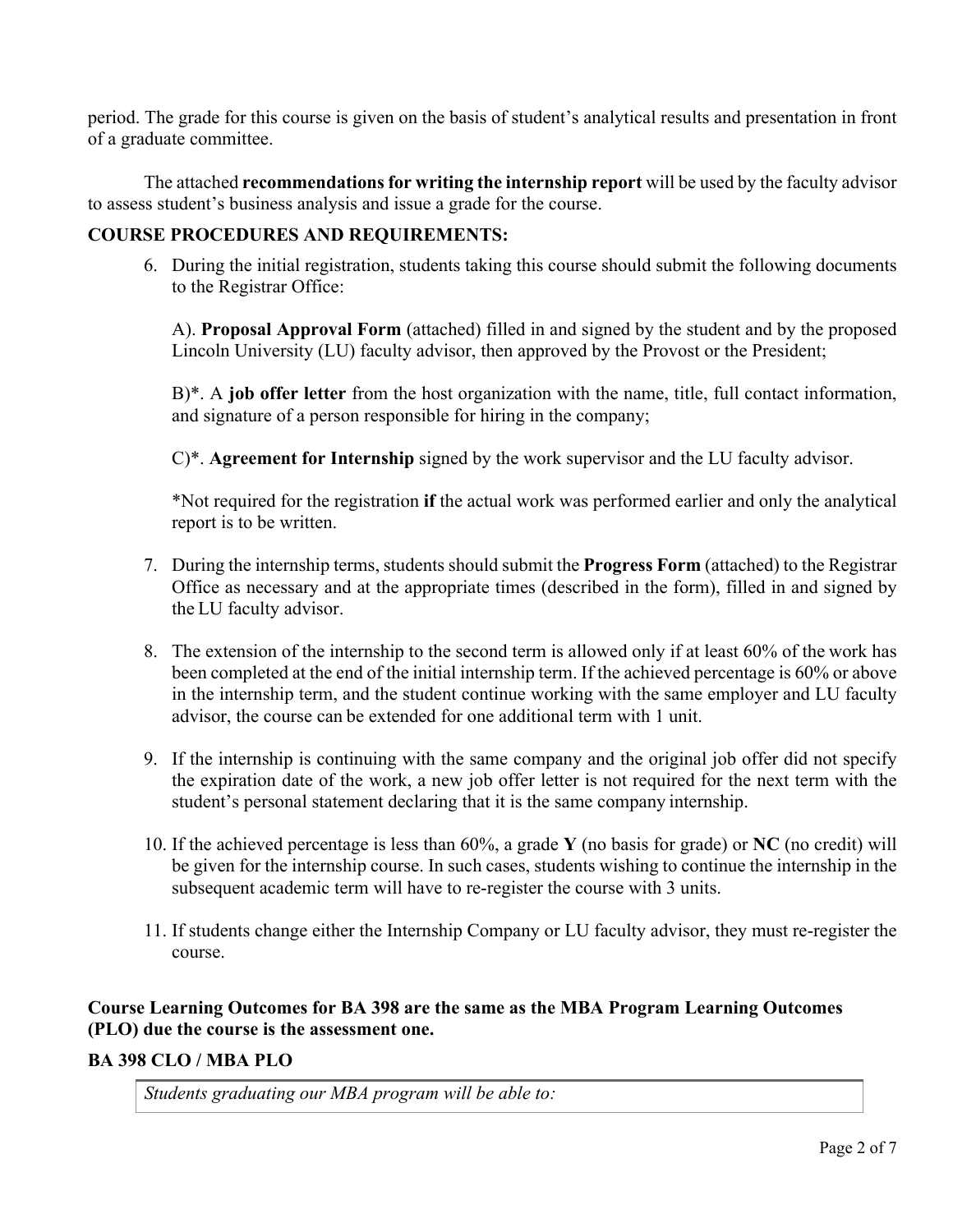period. The grade for this course is given on the basis of student's analytical results and presentation in front of a graduate committee.

The attached **recommendations for writing the internship report** will be used by the faculty advisor to assess student's business analysis and issue a grade for the course.

# **COURSE PROCEDURES AND REQUIREMENTS:**

6. During the initial registration, students taking this course should submit the following documents to the Registrar Office:

A). **Proposal Approval Form** (attached) filled in and signed by the student and by the proposed Lincoln University (LU) faculty advisor, then approved by the Provost or the President;

B)\*. A **job offer letter** from the host organization with the name, title, full contact information, and signature of a person responsible for hiring in the company;

C)\*. **Agreement for Internship** signed by the work supervisor and the LU faculty advisor.

\*Not required for the registration **if** the actual work was performed earlier and only the analytical report is to be written.

- 7. During the internship terms, students should submit the **Progress Form** (attached) to the Registrar Office as necessary and at the appropriate times (described in the form), filled in and signed by the LU faculty advisor.
- 8. The extension of the internship to the second term is allowed only if at least 60% of the work has been completed at the end of the initial internship term. If the achieved percentage is 60% or above in the internship term, and the student continue working with the same employer and LU faculty advisor, the course can be extended for one additional term with 1 unit.
- 9. If the internship is continuing with the same company and the original job offer did not specify the expiration date of the work, a new job offer letter is not required for the next term with the student's personal statement declaring that it is the same company internship.
- 10. If the achieved percentage is less than 60%, a grade **Y** (no basis for grade) or **NC** (no credit) will be given for the internship course. In such cases, students wishing to continue the internship in the subsequent academic term will have to re-register the course with 3 units.
- 11. If students change either the Internship Company or LU faculty advisor, they must re-register the course.

# **Course Learning Outcomes for BA 398 are the same as the MBA Program Learning Outcomes (PLO) due the course is the assessment one.**

## **BA 398 CLO / MBA PLO**

*Students graduating our MBA program will be able to:*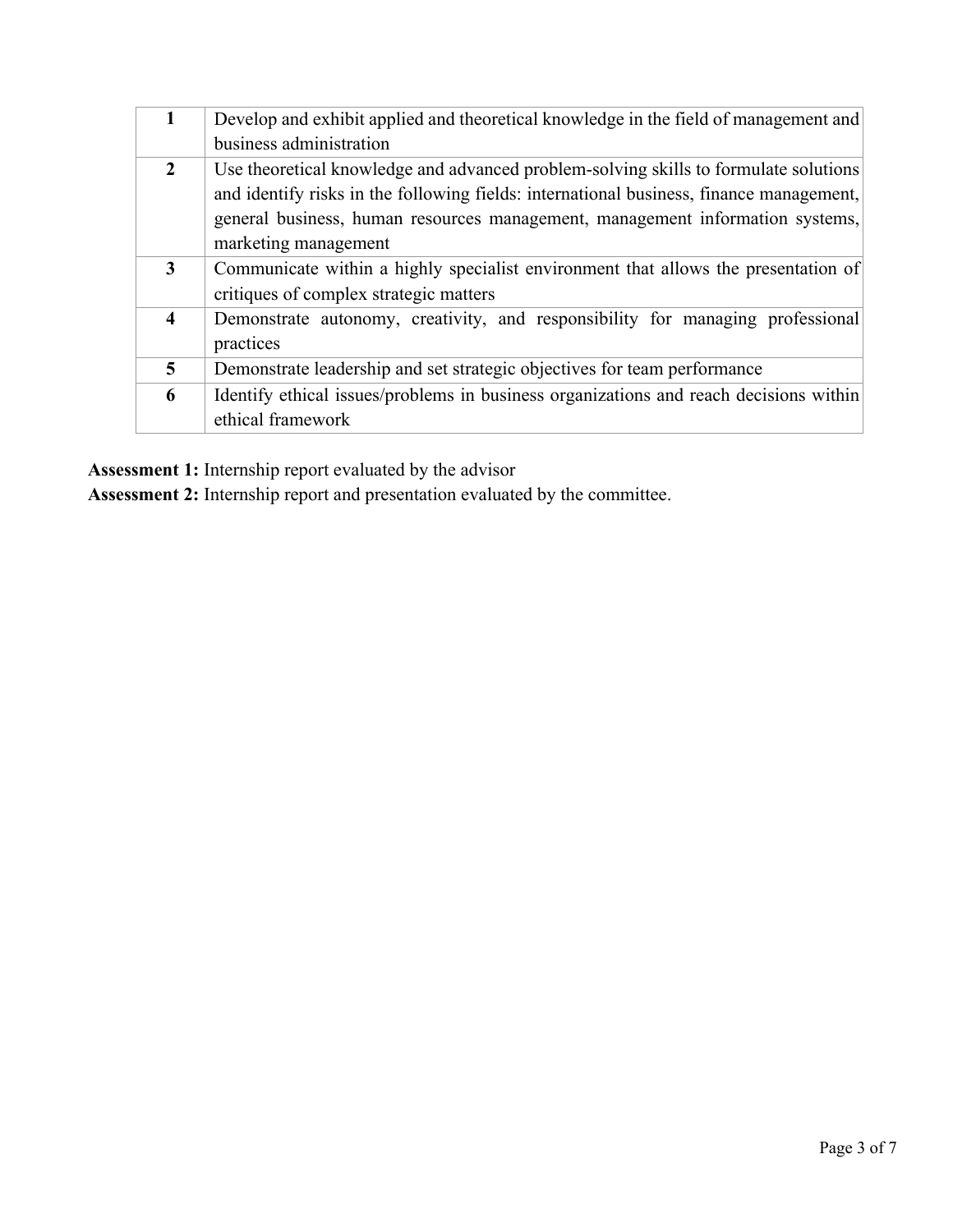| $\mathbf{1}$            | Develop and exhibit applied and theoretical knowledge in the field of management and    |
|-------------------------|-----------------------------------------------------------------------------------------|
|                         | business administration                                                                 |
| $\overline{2}$          | Use theoretical knowledge and advanced problem-solving skills to formulate solutions    |
|                         | and identify risks in the following fields: international business, finance management, |
|                         | general business, human resources management, management information systems,           |
|                         | marketing management                                                                    |
| 3                       | Communicate within a highly specialist environment that allows the presentation of      |
|                         | critiques of complex strategic matters                                                  |
| $\overline{\mathbf{4}}$ | Demonstrate autonomy, creativity, and responsibility for managing professional          |
|                         | practices                                                                               |
| $\overline{5}$          | Demonstrate leadership and set strategic objectives for team performance                |
| 6                       | Identify ethical issues/problems in business organizations and reach decisions within   |
|                         | ethical framework                                                                       |
|                         |                                                                                         |

**Assessment 1:** Internship report evaluated by the advisor

**Assessment 2:** Internship report and presentation evaluated by the committee.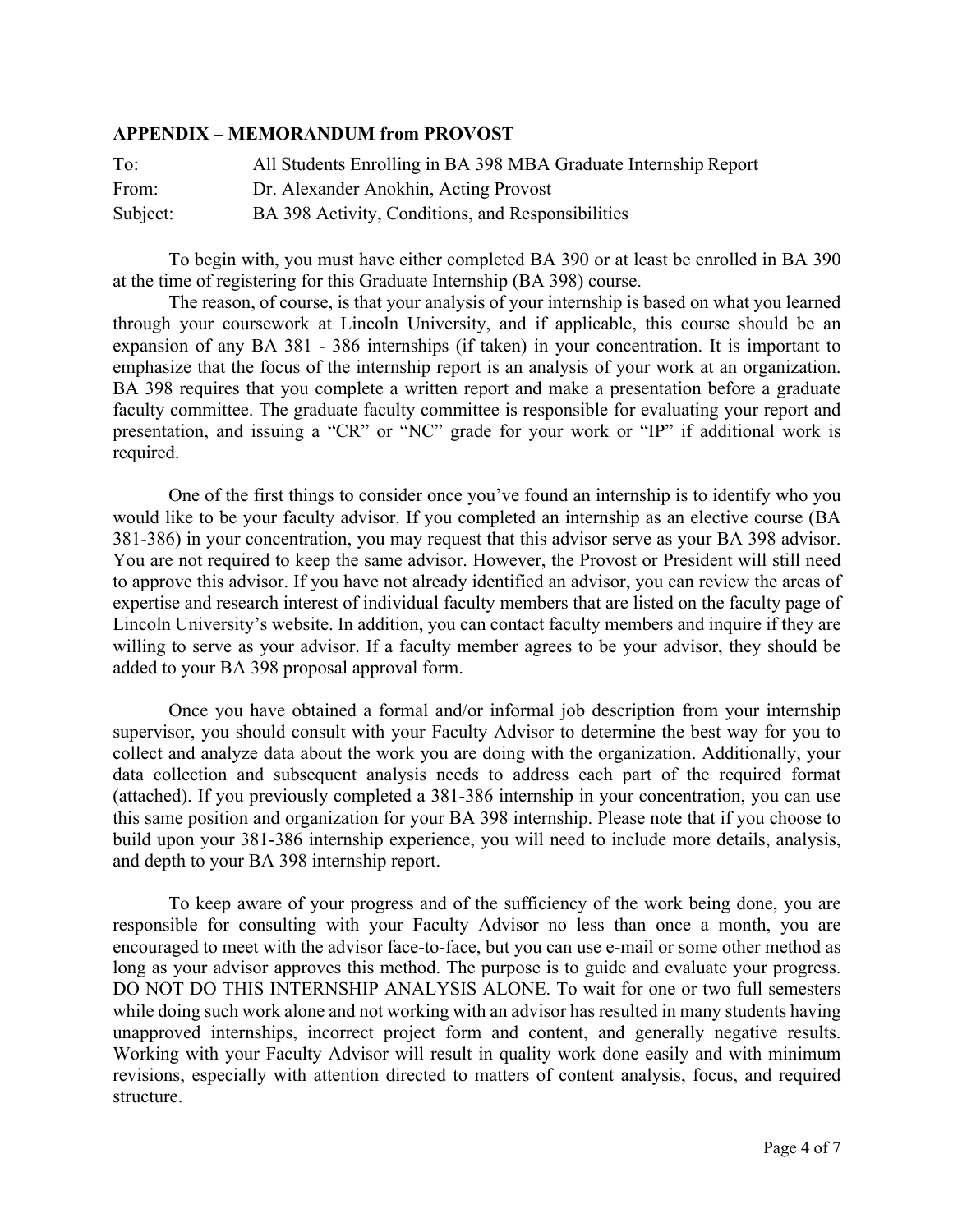## **APPENDIX – MEMORANDUM from PROVOST**

| To:      | All Students Enrolling in BA 398 MBA Graduate Internship Report |
|----------|-----------------------------------------------------------------|
| From:    | Dr. Alexander Anokhin, Acting Provost                           |
| Subject: | BA 398 Activity, Conditions, and Responsibilities               |

To begin with, you must have either completed BA 390 or at least be enrolled in BA 390 at the time of registering for this Graduate Internship (BA 398) course.

The reason, of course, is that your analysis of your internship is based on what you learned through your coursework at Lincoln University, and if applicable, this course should be an expansion of any BA 381 - 386 internships (if taken) in your concentration. It is important to emphasize that the focus of the internship report is an analysis of your work at an organization. BA 398 requires that you complete a written report and make a presentation before a graduate faculty committee. The graduate faculty committee is responsible for evaluating your report and presentation, and issuing a "CR" or "NC" grade for your work or "IP" if additional work is required.

One of the first things to consider once you've found an internship is to identify who you would like to be your faculty advisor. If you completed an internship as an elective course (BA 381-386) in your concentration, you may request that this advisor serve as your BA 398 advisor. You are not required to keep the same advisor. However, the Provost or President will still need to approve this advisor. If you have not already identified an advisor, you can review the areas of expertise and research interest of individual faculty members that are listed on the faculty page of Lincoln University's website. In addition, you can contact faculty members and inquire if they are willing to serve as your advisor. If a faculty member agrees to be your advisor, they should be added to your BA 398 proposal approval form.

Once you have obtained a formal and/or informal job description from your internship supervisor, you should consult with your Faculty Advisor to determine the best way for you to collect and analyze data about the work you are doing with the organization. Additionally, your data collection and subsequent analysis needs to address each part of the required format (attached). If you previously completed a 381-386 internship in your concentration, you can use this same position and organization for your BA 398 internship. Please note that if you choose to build upon your 381-386 internship experience, you will need to include more details, analysis, and depth to your BA 398 internship report.

To keep aware of your progress and of the sufficiency of the work being done, you are responsible for consulting with your Faculty Advisor no less than once a month, you are encouraged to meet with the advisor face-to-face, but you can use e-mail or some other method as long as your advisor approves this method. The purpose is to guide and evaluate your progress. DO NOT DO THIS INTERNSHIP ANALYSIS ALONE. To wait for one or two full semesters while doing such work alone and not working with an advisor has resulted in many students having unapproved internships, incorrect project form and content, and generally negative results. Working with your Faculty Advisor will result in quality work done easily and with minimum revisions, especially with attention directed to matters of content analysis, focus, and required structure.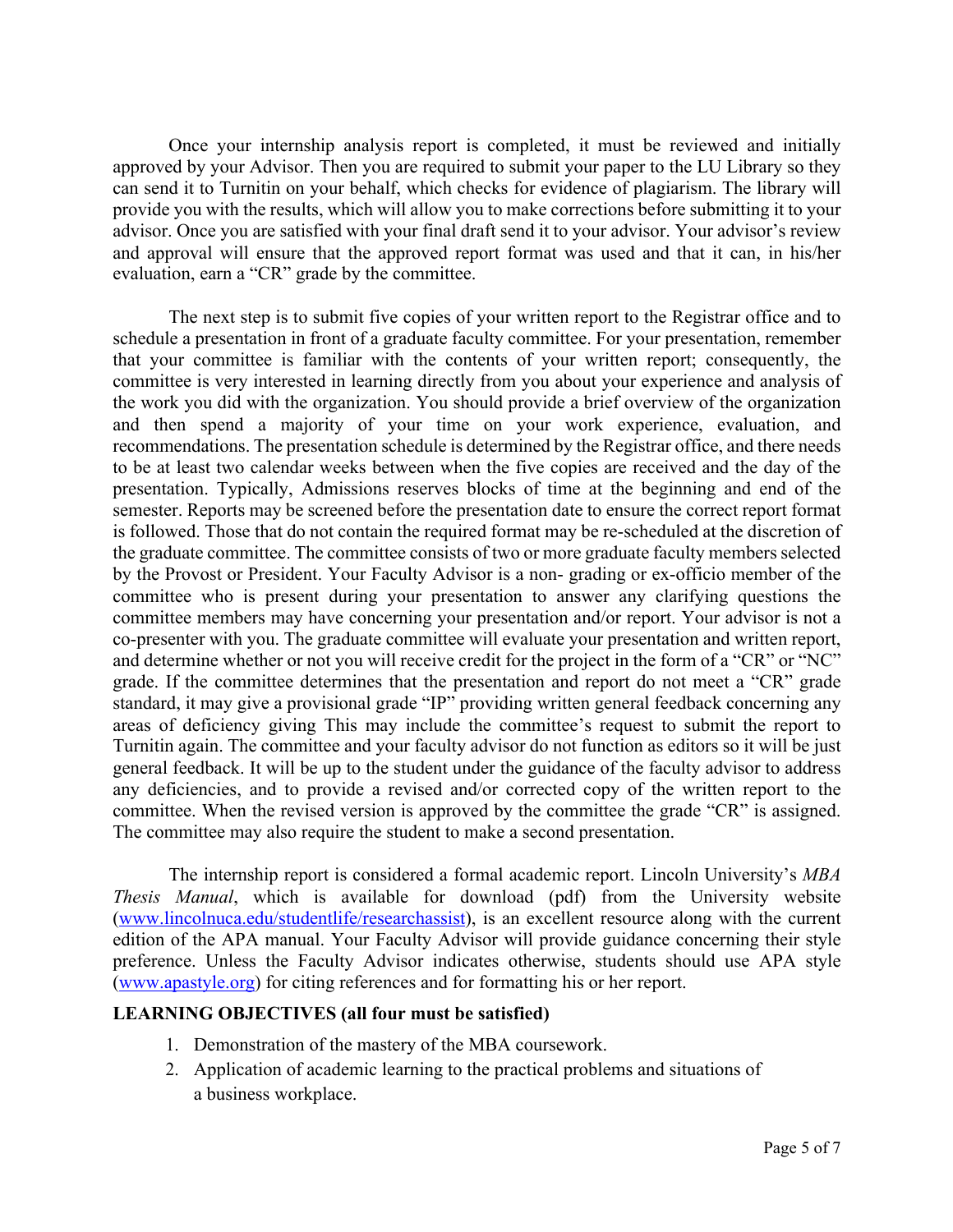Once your internship analysis report is completed, it must be reviewed and initially approved by your Advisor. Then you are required to submit your paper to the LU Library so they can send it to Turnitin on your behalf, which checks for evidence of plagiarism. The library will provide you with the results, which will allow you to make corrections before submitting it to your advisor. Once you are satisfied with your final draft send it to your advisor. Your advisor's review and approval will ensure that the approved report format was used and that it can, in his/her evaluation, earn a "CR" grade by the committee.

The next step is to submit five copies of your written report to the Registrar office and to schedule a presentation in front of a graduate faculty committee. For your presentation, remember that your committee is familiar with the contents of your written report; consequently, the committee is very interested in learning directly from you about your experience and analysis of the work you did with the organization. You should provide a brief overview of the organization and then spend a majority of your time on your work experience, evaluation, and recommendations. The presentation schedule is determined by the Registrar office, and there needs to be at least two calendar weeks between when the five copies are received and the day of the presentation. Typically, Admissions reserves blocks of time at the beginning and end of the semester. Reports may be screened before the presentation date to ensure the correct report format is followed. Those that do not contain the required format may be re-scheduled at the discretion of the graduate committee. The committee consists of two or more graduate faculty members selected by the Provost or President. Your Faculty Advisor is a non- grading or ex-officio member of the committee who is present during your presentation to answer any clarifying questions the committee members may have concerning your presentation and/or report. Your advisor is not a co-presenter with you. The graduate committee will evaluate your presentation and written report, and determine whether or not you will receive credit for the project in the form of a "CR" or "NC" grade. If the committee determines that the presentation and report do not meet a "CR" grade standard, it may give a provisional grade "IP" providing written general feedback concerning any areas of deficiency giving This may include the committee's request to submit the report to Turnitin again. The committee and your faculty advisor do not function as editors so it will be just general feedback. It will be up to the student under the guidance of the faculty advisor to address any deficiencies, and to provide a revised and/or corrected copy of the written report to the committee. When the revised version is approved by the committee the grade "CR" is assigned. The committee may also require the student to make a second presentation.

The internship report is considered a formal academic report. Lincoln University's *MBA Thesis Manual*, which is available for download (pdf) from the University website (www.lincolnuca.edu/studentlife/researchassist), is an excellent resource along with the current edition of the APA manual. Your Faculty Advisor will provide guidance concerning their style preference. Unless the Faculty Advisor indicates otherwise, students should use APA style (www.apastyle.org) for citing references and for formatting his or her report.

## **LEARNING OBJECTIVES (all four must be satisfied)**

- 1. Demonstration of the mastery of the MBA coursework.
- 2. Application of academic learning to the practical problems and situations of a business workplace.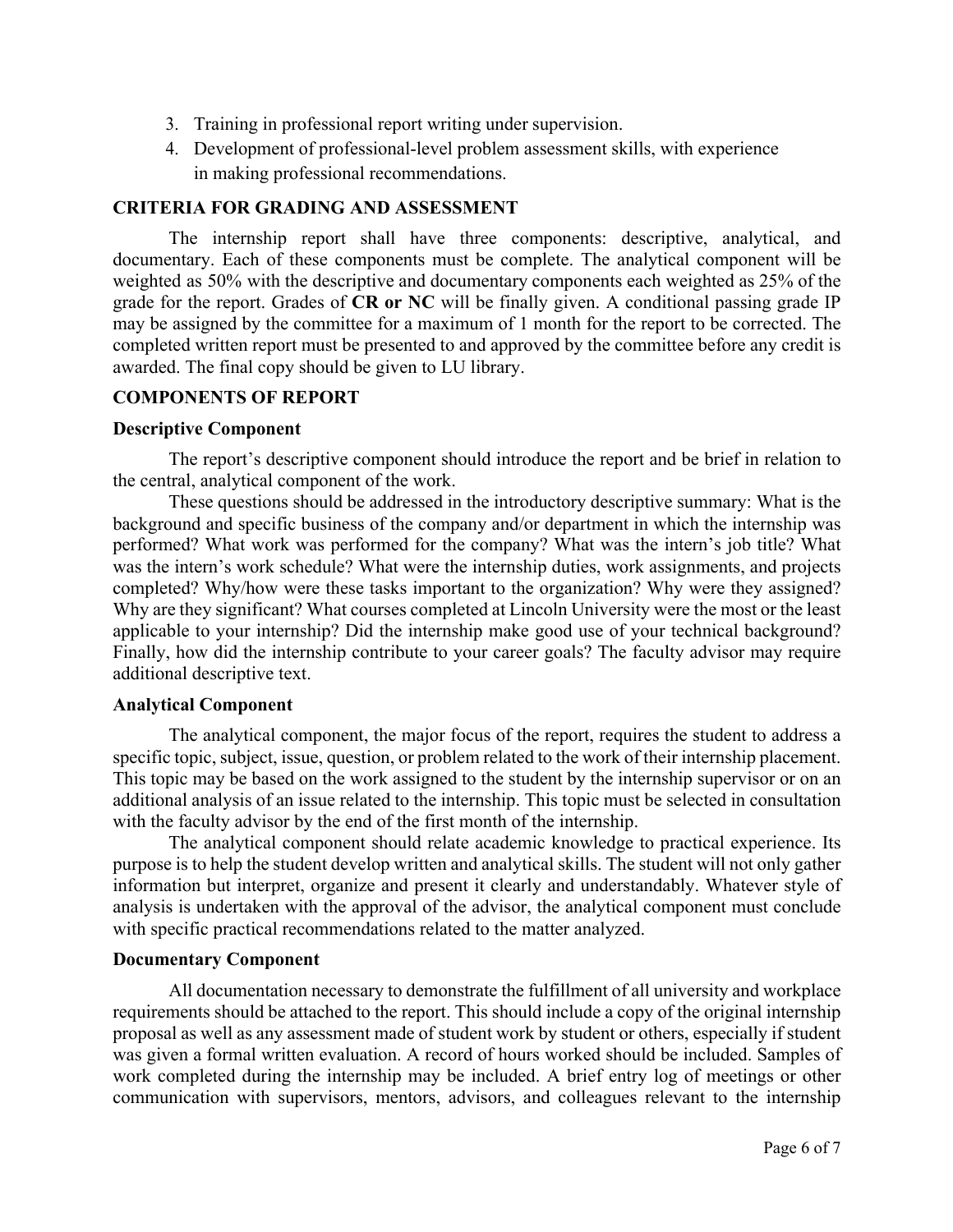- 3. Training in professional report writing under supervision.
- 4. Development of professional-level problem assessment skills, with experience in making professional recommendations.

# **CRITERIA FOR GRADING AND ASSESSMENT**

The internship report shall have three components: descriptive, analytical, and documentary. Each of these components must be complete. The analytical component will be weighted as 50% with the descriptive and documentary components each weighted as 25% of the grade for the report. Grades of **CR or NC** will be finally given. A conditional passing grade IP may be assigned by the committee for a maximum of 1 month for the report to be corrected. The completed written report must be presented to and approved by the committee before any credit is awarded. The final copy should be given to LU library.

#### **COMPONENTS OF REPORT**

#### **Descriptive Component**

The report's descriptive component should introduce the report and be brief in relation to the central, analytical component of the work.

These questions should be addressed in the introductory descriptive summary: What is the background and specific business of the company and/or department in which the internship was performed? What work was performed for the company? What was the intern's job title? What was the intern's work schedule? What were the internship duties, work assignments, and projects completed? Why/how were these tasks important to the organization? Why were they assigned? Why are they significant? What courses completed at Lincoln University were the most or the least applicable to your internship? Did the internship make good use of your technical background? Finally, how did the internship contribute to your career goals? The faculty advisor may require additional descriptive text.

#### **Analytical Component**

The analytical component, the major focus of the report, requires the student to address a specific topic, subject, issue, question, or problem related to the work of their internship placement. This topic may be based on the work assigned to the student by the internship supervisor or on an additional analysis of an issue related to the internship. This topic must be selected in consultation with the faculty advisor by the end of the first month of the internship.

The analytical component should relate academic knowledge to practical experience. Its purpose is to help the student develop written and analytical skills. The student will not only gather information but interpret, organize and present it clearly and understandably. Whatever style of analysis is undertaken with the approval of the advisor, the analytical component must conclude with specific practical recommendations related to the matter analyzed.

#### **Documentary Component**

All documentation necessary to demonstrate the fulfillment of all university and workplace requirements should be attached to the report. This should include a copy of the original internship proposal as well as any assessment made of student work by student or others, especially if student was given a formal written evaluation. A record of hours worked should be included. Samples of work completed during the internship may be included. A brief entry log of meetings or other communication with supervisors, mentors, advisors, and colleagues relevant to the internship